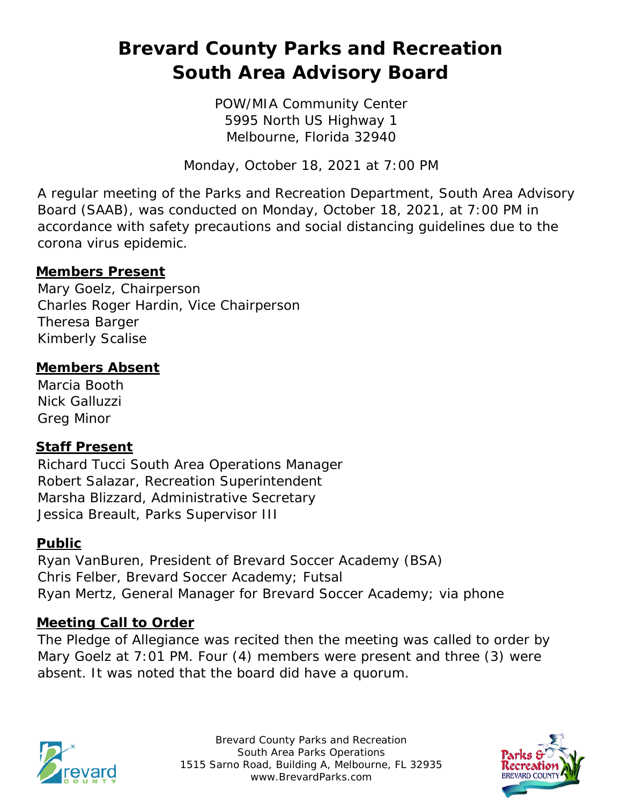# **Brevard County Parks and Recreation South Area Advisory Board**

POW/MIA Community Center 5995 North US Highway 1 Melbourne, Florida 32940

Monday, October 18, 2021 at 7:00 PM

A regular meeting of the Parks and Recreation Department, South Area Advisory Board (SAAB), was conducted on Monday, October 18, 2021, at 7:00 PM in accordance with safety precautions and social distancing guidelines due to the corona virus epidemic.

#### **Members Present**

Mary Goelz, Chairperson Charles Roger Hardin, Vice Chairperson Theresa Barger Kimberly Scalise

#### **Members Absent**

Marcia Booth Nick Galluzzi Greg Minor

## **Staff Present**

Richard Tucci South Area Operations Manager Robert Salazar, Recreation Superintendent Marsha Blizzard, Administrative Secretary Jessica Breault, Parks Supervisor III

#### **Public**

Ryan VanBuren, President of Brevard Soccer Academy (BSA) Chris Felber, Brevard Soccer Academy; Futsal Ryan Mertz, General Manager for Brevard Soccer Academy; via phone

#### **Meeting Call to Order**

The Pledge of Allegiance was recited then the meeting was called to order by Mary Goelz at 7:01 PM. Four (4) members were present and three (3) were absent. It was noted that the board did have a quorum.



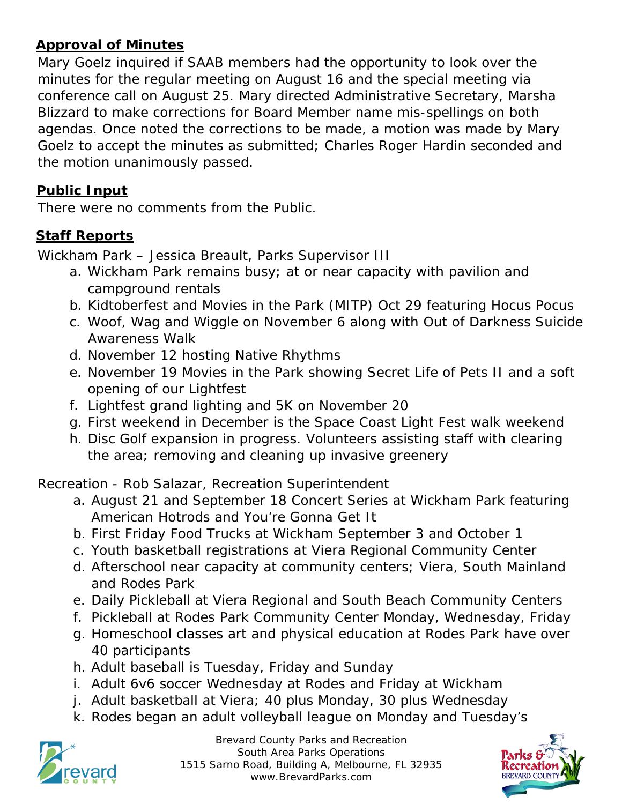# **Approval of Minutes**

Mary Goelz inquired if SAAB members had the opportunity to look over the minutes for the regular meeting on August 16 and the special meeting via conference call on August 25. Mary directed Administrative Secretary, Marsha Blizzard to make corrections for Board Member name mis-spellings on both agendas. Once noted the corrections to be made, a motion was made by Mary Goelz to accept the minutes as submitted; Charles Roger Hardin seconded and the motion unanimously passed.

## **Public Input**

There were no comments from the Public.

# **Staff Reports**

Wickham Park – Jessica Breault, Parks Supervisor III

- a. Wickham Park remains busy; at or near capacity with pavilion and campground rentals
- b. Kidtoberfest and Movies in the Park (MITP) Oct 29 featuring Hocus Pocus
- c. Woof, Wag and Wiggle on November 6 along with Out of Darkness Suicide Awareness Walk
- d. November 12 hosting Native Rhythms
- e. November 19 Movies in the Park showing Secret Life of Pets II and a soft opening of our Lightfest
- f. Lightfest grand lighting and 5K on November 20
- g. First weekend in December is the Space Coast Light Fest walk weekend
- h. Disc Golf expansion in progress. Volunteers assisting staff with clearing the area; removing and cleaning up invasive greenery

Recreation - Rob Salazar, Recreation Superintendent

- a. August 21 and September 18 Concert Series at Wickham Park featuring American Hotrods and You're Gonna Get It
- b. First Friday Food Trucks at Wickham September 3 and October 1
- c. Youth basketball registrations at Viera Regional Community Center
- d. Afterschool near capacity at community centers; Viera, South Mainland and Rodes Park
- e. Daily Pickleball at Viera Regional and South Beach Community Centers
- f. Pickleball at Rodes Park Community Center Monday, Wednesday, Friday
- g. Homeschool classes art and physical education at Rodes Park have over 40 participants
- h. Adult baseball is Tuesday, Friday and Sunday
- i. Adult 6v6 soccer Wednesday at Rodes and Friday at Wickham
- j. Adult basketball at Viera; 40 plus Monday, 30 plus Wednesday
- k. Rodes began an adult volleyball league on Monday and Tuesday's



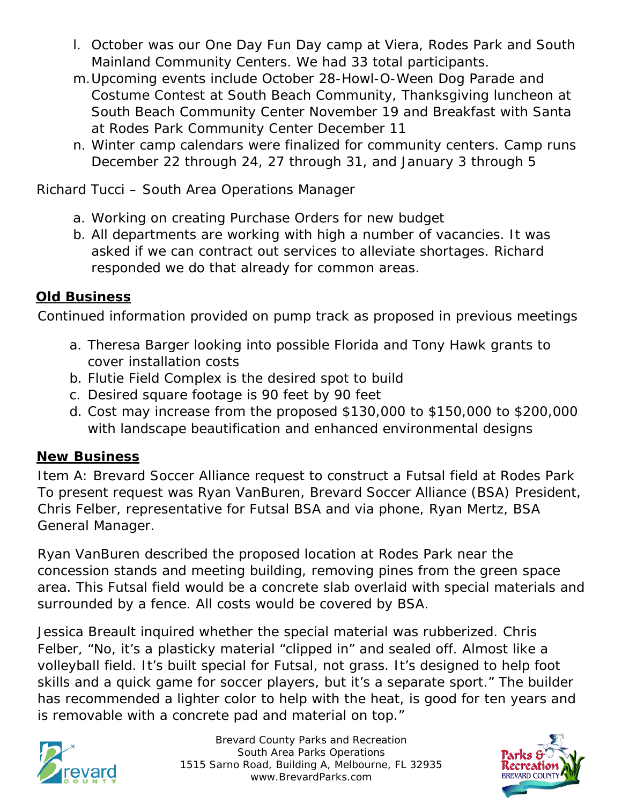- l. October was our One Day Fun Day camp at Viera, Rodes Park and South Mainland Community Centers. We had 33 total participants.
- m.Upcoming events include October 28-Howl-O-Ween Dog Parade and Costume Contest at South Beach Community, Thanksgiving luncheon at South Beach Community Center November 19 and Breakfast with Santa at Rodes Park Community Center December 11
- n. Winter camp calendars were finalized for community centers. Camp runs December 22 through 24, 27 through 31, and January 3 through 5

Richard Tucci – South Area Operations Manager

- a. Working on creating Purchase Orders for new budget
- b. All departments are working with high a number of vacancies. It was asked if we can contract out services to alleviate shortages. Richard responded we do that already for common areas.

## **Old Business**

Continued information provided on pump track as proposed in previous meetings

- a. Theresa Barger looking into possible Florida and Tony Hawk grants to cover installation costs
- b. Flutie Field Complex is the desired spot to build
- c. Desired square footage is 90 feet by 90 feet
- d. Cost may increase from the proposed \$130,000 to \$150,000 to \$200,000 with landscape beautification and enhanced environmental designs

## **New Business**

Item A: Brevard Soccer Alliance request to construct a Futsal field at Rodes Park To present request was Ryan VanBuren, Brevard Soccer Alliance (BSA) President, Chris Felber, representative for Futsal BSA and via phone, Ryan Mertz, BSA General Manager.

Ryan VanBuren described the proposed location at Rodes Park near the concession stands and meeting building, removing pines from the green space area. This Futsal field would be a concrete slab overlaid with special materials and surrounded by a fence. All costs would be covered by BSA.

Jessica Breault inquired whether the special material was rubberized. Chris Felber, "No, it's a plasticky material "clipped in" and sealed off. Almost like a volleyball field. It's built special for Futsal, not grass. It's designed to help foot skills and a quick game for soccer players, but it's a separate sport." The builder has recommended a lighter color to help with the heat, is good for ten years and is removable with a concrete pad and material on top."



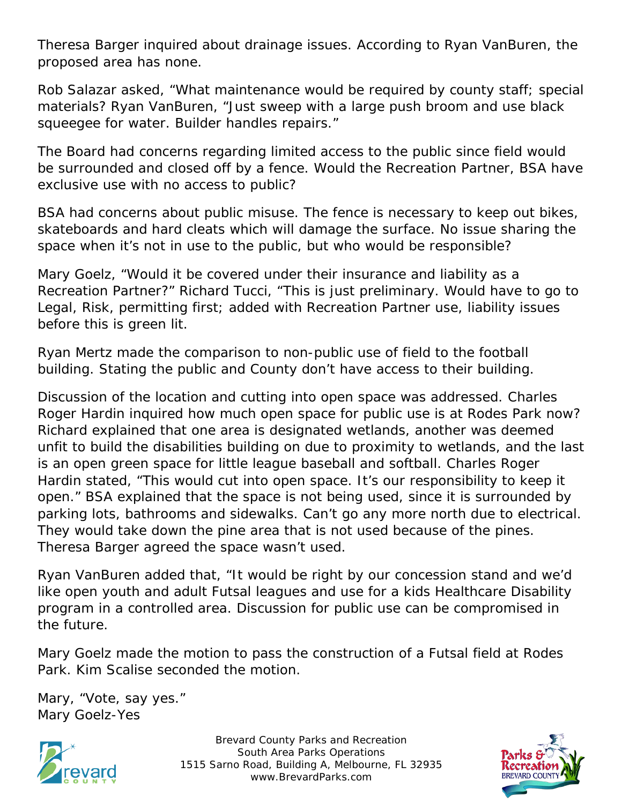Theresa Barger inquired about drainage issues. According to Ryan VanBuren, the proposed area has none.

Rob Salazar asked, "What maintenance would be required by county staff; special materials? Ryan VanBuren, "Just sweep with a large push broom and use black squeegee for water. Builder handles repairs."

The Board had concerns regarding limited access to the public since field would be surrounded and closed off by a fence. Would the Recreation Partner, BSA have exclusive use with no access to public?

BSA had concerns about public misuse. The fence is necessary to keep out bikes, skateboards and hard cleats which will damage the surface. No issue sharing the space when it's not in use to the public, but who would be responsible?

Mary Goelz, "Would it be covered under their insurance and liability as a Recreation Partner?" Richard Tucci, "This is just preliminary. Would have to go to Legal, Risk, permitting first; added with Recreation Partner use, liability issues before this is green lit.

Ryan Mertz made the comparison to non-public use of field to the football building. Stating the public and County don't have access to their building.

Discussion of the location and cutting into open space was addressed. Charles Roger Hardin inquired how much open space for public use is at Rodes Park now? Richard explained that one area is designated wetlands, another was deemed unfit to build the disabilities building on due to proximity to wetlands, and the last is an open green space for little league baseball and softball. Charles Roger Hardin stated, "This would cut into open space. It's our responsibility to keep it open." BSA explained that the space is not being used, since it is surrounded by parking lots, bathrooms and sidewalks. Can't go any more north due to electrical. They would take down the pine area that is not used because of the pines. Theresa Barger agreed the space wasn't used.

Ryan VanBuren added that, "It would be right by our concession stand and we'd like open youth and adult Futsal leagues and use for a kids Healthcare Disability program in a controlled area. Discussion for public use can be compromised in the future.

Mary Goelz made the motion to pass the construction of a Futsal field at Rodes Park. Kim Scalise seconded the motion.

Mary, "Vote, say yes." Mary Goelz-Yes